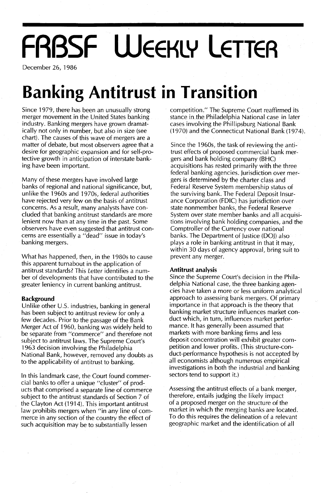# **FABSF WEEKLY LETTER**

December 26, 1986

## **Banking Antitrust in Transition**

Since 1979, there has been an unusually strong merger movement in the United States banking industry. Banking mergers have grown dramatically not only in number, but also in size (see chart). The causes of this wave of mergers are a matter of debate, but most observers agree that a desire for geographic expansion and for self-protective growth in anticipation of interstate banking have been important.

Many of these mergers have involved large banks of regional and national significance, but, unlike the 1960s and 1970s, federal authorities have rejected very few on the basis of antitrust concerns. As a result, many analysts have concluded that banking antitrust standards are more lenient now than at any time in the past. Some observers have even suggested that antitrust concerns are essentially a "dead" issue in today's banking mergers.

What has happened, then, in the 1980s to cause this apparent turnabout in the application of antitrust standards? This Letter identifies a number of developments that have contributed to the greater leniency in current banking antitrust.

#### **Background**

Unlike other U.S. industries, banking in general has been subject to antitrust review for only a few decades. Prior to the passage of the Bank Merger Act of 1960, banking was widely held to be separate from "commerce" and therefore not subject to antitrust laws. The Supreme Court's 1963 decision involving the Philadelphia National Bank, however, removed any doubts as to the applicability of antitrust to banking.

In this landmark case, the Court found commercial banks to offer a unique "cluster" of products that comprised a separate line of commerce subject to the antitrust standards of Section 7 of the Clayton Act (1914). This important antitrust law prohibits mergers when "in any line of commerce in any section of the country the effect of such acquisition may be to substantially lessen

competition." The Supreme Court reaffirmed its stance in the Philadelphia National case in later cases involving the Phillipsburg National Bank (1970) and the Connecticut National Bank (1974).

Since the 1960s, the task of reviewing the antitrust effects of proposed commercial bank mergers and bank holding company (BHC) acquisitions has rested primarily with the three federal banking agencies. jurisdiction over mergers is determined by the charter class and Federal Reserve System membership status of the surviving bank. The Federal Deposit Insurance Corporation (FDIC) has jurisdiction over state nonmember banks, the Federal Reserve System over state member banks and all acquisitions involving bank holding companies, and the Comptroller of the Currency over national banks. The Department of justice (DOj) also plays a role in banking antitrust in that it may, within 30 days of agency approval, bring suit to prevent any merger.

#### **Antitrust analysis**

Since the Supreme Court's decision in the Philadelphia National case, the three banking agencies have taken a more or less uniform analytical approach to assessing bank mergers. Of primary importance in that approach is the theory that banking market structure influences market conduct which, in turn, influences market performance. It has generally been assumed that markets with more banking firms and less deposit concentration will exhibit greater competition and lower profits. (This structure-conduct-performance hypothesis is not accepted by all economists although numerous empirical investigations in both the industrial and banking sectors tend to support it.)

Assessing the antitrust effects of a bank merger, therefore, entails judging the likely impact of a proposed merger on the structure of the market in which the merging banks are located. To do this requires the delineation of a relevant geographic market and the identification of all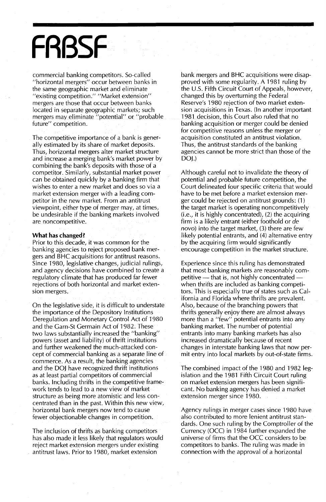## **FRBSF**

commercial banking competitors. So-called "horizontal mergers" occur between banks in the same geographic market and eliminate "existing competition." "Market extension" mergers are those that occur between banks located in separate geographic markets; such mergers may eliminate "potential" or "probable future" competition.

The competitive importance of a bank is generally estimated by its share of market deposits. Thus, horizontal mergers alter market structure and increase a merging bank's market power by combining the bank's deposits with those of a competitor. Similarly, substantial market power can be obtained quickly by a banking firm that wishes to enter a new market and does so via a market extension merger with a leading competitor in the new market. From an antitrust viewpoint, either type of merger may, at times, be undesirable if the banking markets involved are noncompetitive.

#### **What has changed?**

Prior to this decade, it was common for the banking agencies to reject proposed bank mergers and BHC acquisitions for antitrust reasons. Since 1980, legislative changes, judicial rulings, and agency decisions have combined to create a regulatory climate that has produced far fewer rejections of both horizontal and market extension mergers.

On the legislative side, it is difficult to understate the importance of the Depository Institutions Deregulation and Monetary Control Act of 1980 and the Garn-St Germain Act of 1982. These two laws substantially increased the "banking" powers (asset and liability) of thrift institutions and further weakened the much-attacked concept of commercial banking as a separate line of commerce. As a result, the banking agencies and the DOJ have recognized thrift institutions as at least partial competitors of commercial banks. Including thrifts in the competitive framework tends to lead to a new view of market structure as being more atomistic and less concentrated than in the past. Within this new view, horizontal bank mergers now tend to cause fewer objectionable changes in competition.

The inclusion of thrifts as banking competitors has also made it less likely that regulators would reject market extension mergers under existing antitrust laws. Prior to 1980, market extension

bank mergers and BHC acquisitions were disapproved with some regularity. A 1981 ruling by the U.S. Fifth Circuit Court of Appeals, however, changed this by overturning the Federal Reserve's 1980 rejection of two market extension acquisitions in Texas. (In another important 1981 decision, this Court also ruled that no banking acquisition or merger could be denied for competitive reasons unless the merger or acquisition constituted an antitrust violation. Thus, the antitrust standards of the banking agencies cannot be more strict than those of the DOJ.)

Although careful not to invalidate the theory of potential and probable future competition, the Court delineated four specific criteria that would have to be met before a market extension merger could be rejected on antitrust grounds: (1) the target market is operating noncompetitively (i.e., it is highly concentrated), (2) the acquiring firm is a likely entrant (either foothold or *de* novo) into the target market, (3) there are few likely potential entrants, and (4) alternative entry by the acquiring firm would significantly encourage competition in the market structure.

Experience since this ruling has demonstrated that most banking markets are reasonably competitive - that is, not highly concentrated when thrifts are included as banking competitors. This is especially true of states such as California and Florida where thrifts are prevalent. Also, because of the branching powers that thrifts generally enjoy there are almost always more than a "few" potential entrants into any banking market. The number of potential entrants into many banking markets has also increased dramatically because of recent changes in interstate banking laws that now permit entry into local markets by out-of-state firms.

The combined impact of the 1980 and 1982 legislation and the 1981 Fifth Circuit Court ruling on market extension mergers has been significant. No banking agency has denied a market extension merger since 1980.

Agency rulings in merger cases since 1980 have also contributed to more lenient antitrust standards. One such ruling by the Comptroller of the Currency (OCC) in 1984 further expanded the universe of firms that the OCC considers to be competitors to banks. The ruling was made in connection with the approval of a horizontal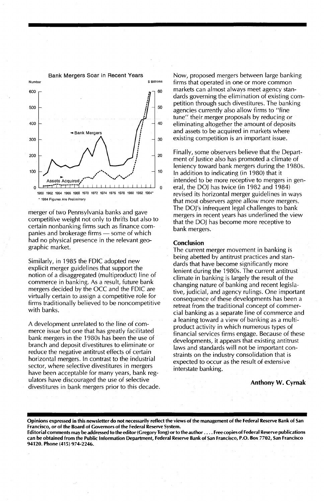

merger of two Pennsylvania banks and gave competitive weight not only to thrifts but also to certain nonbanking firms such as finance companies and brokerage firms - some of which had no physical presence in the relevant geographic market.

Similarly, in 1985 the FDIC adopted new explicit merger guidelines that support the notion of a disaggregated (multiproduct) line of commerce in banking. As a result, future bank mergers decided by the OCC and the FDIC are virtually certain to assign a competitive role for firms traditionally believed to be noncompetitive with banks.

A development unrelated to the line of commerce issue but one that has greatly facilitated bank mergers in the 1980s has been the use of branch and deposit divestitures to eliminate or reduce the negative antitrust effects of certain horizontal mergers. In contrast to the industrial sector, where selective divestitures in mergers have been acceptable for many years, bank regulators have discouraged the use of selective divestitures in bank mergers prior to this decade. Now, proposed mergers between large banking firms that operated in one or more common markets can almost always meet agency standards governing the elimination of existing competition through such divestitures. The banking agencies currently also allow firms to "fine tune" their merger proposals by reducing or eliminating altogether the amount of deposits and assets to be acquired in markets where existing competition is an important issue.

Finally, some observers believe that the Department of Justice also has promoted a climate of leniency toward bank mergers during the 1980s. In addition to indicating (in 1980) that it intended to be more receptive to mergers in general, the DOJ has twice (in 1982 and 1984) revised its horizontal merger guidelines in ways that most observers agree allow more mergers. The DOj's infrequent legal challenges to bank mergers in recent years has underlined the view that the DOJ has become more receptive to bank mergers.

#### Conclusion

The current merger movement in banking is being abetted by antitrust practices and standards that have become significantly more lenient during the 1980s. The current antitrust climate in banking is largely the result of the changing nature of banking and recent legislative, judicial, and agency rulings. One important consequence of these developments has been a retreat from the traditional concept of commercial banking as a separate line of commerce and a leaning toward a view of banking as a multiproduct activity in which numerous types of financial services firms engage. Because of these developments, it appears that existing antitrust laws and standards will not be important constraints on the industry consolidation that is expected to occur as the result of extensive interstate banking.

#### Anthony W. Cyrnak

Opinions expressed in this newsletter do not necessarily reflect the views of the management of the Federal Reserve Bank of San Francisco, or of the Board of Governors of the Federal Reserve System.

Editorial comments may be addressed to the editor (Gregory Tong) or to the author .... Free copies of Federal Reserve publications can be obtained from the Public Information Department, Federal Reserve Bank of San Francisco, P.O. Box 7702, San Francisco 94120. Phone (415) 974-2246.